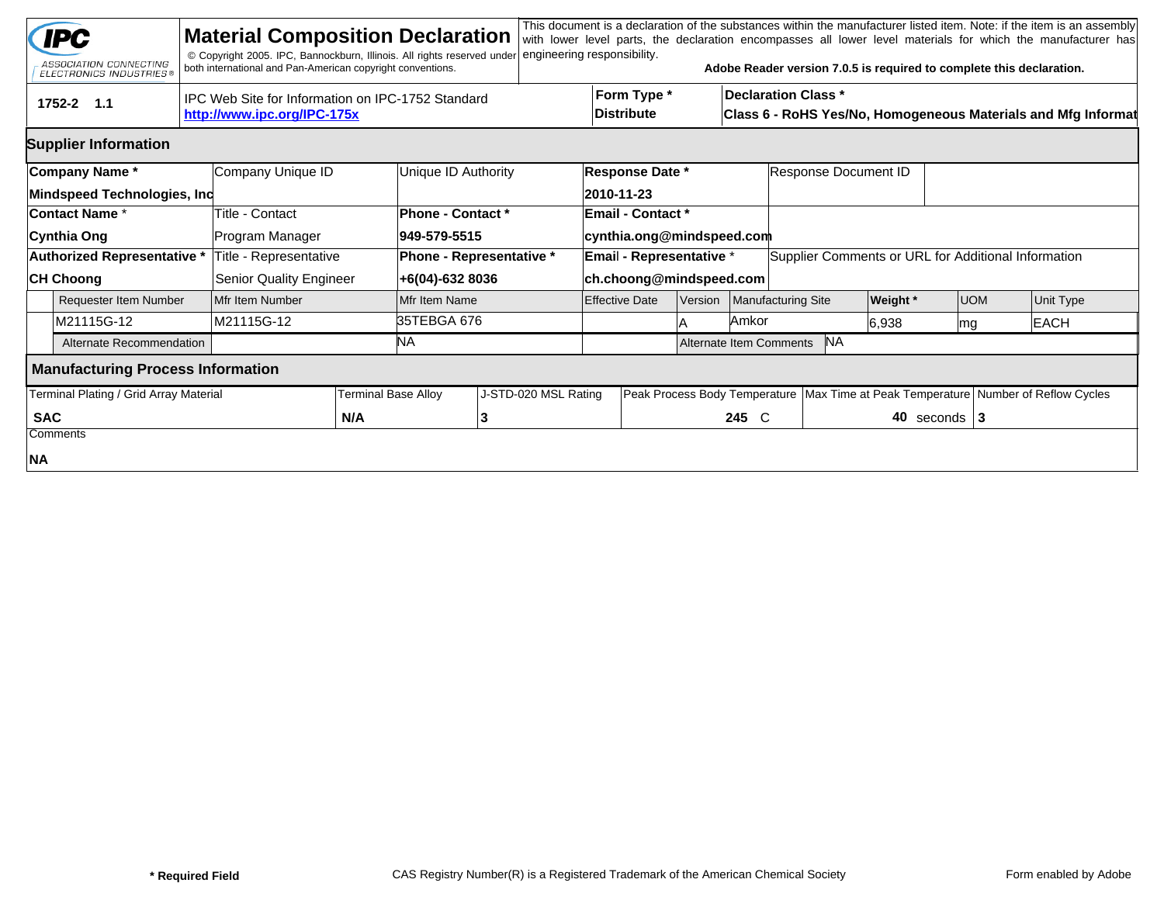|                                                                                                | <b>IPC</b><br>ASSOCIATION CONNECTING<br><b>ELECTRONICS INDUSTRIES®</b> |                   | <b>Material Composition Declaration</b><br>© Copyright 2005. IPC, Bannockburn, Illinois. All rights reserved under<br>both international and Pan-American copyright conventions. |              |                                                    | engineering responsibility. |                           |                                                                                                                                 |                    |           |                                                     | Adobe Reader version 7.0.5 is required to complete this declaration. |             |           | This document is a declaration of the substances within the manufacturer listed item. Note: if the item is an assembly<br>with lower level parts, the declaration encompasses all lower level materials for which the manufacturer has |  |
|------------------------------------------------------------------------------------------------|------------------------------------------------------------------------|-------------------|----------------------------------------------------------------------------------------------------------------------------------------------------------------------------------|--------------|----------------------------------------------------|-----------------------------|---------------------------|---------------------------------------------------------------------------------------------------------------------------------|--------------------|-----------|-----------------------------------------------------|----------------------------------------------------------------------|-------------|-----------|----------------------------------------------------------------------------------------------------------------------------------------------------------------------------------------------------------------------------------------|--|
| IPC Web Site for Information on IPC-1752 Standard<br>1752-2 1.1<br>http://www.ipc.org/IPC-175x |                                                                        |                   |                                                                                                                                                                                  |              |                                                    |                             |                           | Form Type *<br><b>Declaration Class *</b><br><b>Distribute</b><br>Class 6 - RoHS Yes/No, Homogeneous Materials and Mfg Informat |                    |           |                                                     |                                                                      |             |           |                                                                                                                                                                                                                                        |  |
| <b>Supplier Information</b>                                                                    |                                                                        |                   |                                                                                                                                                                                  |              |                                                    |                             |                           |                                                                                                                                 |                    |           |                                                     |                                                                      |             |           |                                                                                                                                                                                                                                        |  |
|                                                                                                | Company Name*<br>Mindspeed Technologies, Inc                           | Company Unique ID |                                                                                                                                                                                  |              | Unique ID Authority                                |                             |                           | <b>Response Date *</b><br>2010-11-23                                                                                            |                    |           | Response Document ID                                |                                                                      |             |           |                                                                                                                                                                                                                                        |  |
|                                                                                                | <b>Contact Name *</b>                                                  |                   | Title - Contact                                                                                                                                                                  |              | Phone - Contact *                                  |                             |                           | <b>Email - Contact *</b>                                                                                                        |                    |           |                                                     |                                                                      |             |           |                                                                                                                                                                                                                                        |  |
|                                                                                                | Cynthia Ong                                                            |                   | Program Manager                                                                                                                                                                  | 949-579-5515 |                                                    |                             | cynthia.ong@mindspeed.com |                                                                                                                                 |                    |           |                                                     |                                                                      |             |           |                                                                                                                                                                                                                                        |  |
|                                                                                                | <b>Authorized Representative *</b>                                     |                   | Title - Representative                                                                                                                                                           |              | Phone - Representative *                           |                             |                           | Email - Representative *                                                                                                        |                    |           | Supplier Comments or URL for Additional Information |                                                                      |             |           |                                                                                                                                                                                                                                        |  |
|                                                                                                | <b>CH Choong</b>                                                       |                   | <b>Senior Quality Engineer</b>                                                                                                                                                   |              | +6(04)-632 8036                                    |                             | ch.choong@mindspeed.com   |                                                                                                                                 |                    |           |                                                     |                                                                      |             |           |                                                                                                                                                                                                                                        |  |
|                                                                                                | <b>Requester Item Number</b>                                           |                   | Mfr Item Number                                                                                                                                                                  |              | Mfr Item Name                                      |                             | <b>Effective Date</b>     | <b>Version</b>                                                                                                                  | Manufacturing Site |           | <b>Weight</b> *                                     | <b>UOM</b>                                                           |             | Unit Type |                                                                                                                                                                                                                                        |  |
|                                                                                                | M21115G-12                                                             |                   | M21115G-12                                                                                                                                                                       | 35TEBGA 676  |                                                    |                             |                           | Amkor                                                                                                                           |                    | 6,938     | mg                                                  |                                                                      | <b>EACH</b> |           |                                                                                                                                                                                                                                        |  |
|                                                                                                | Alternate Recommendation                                               |                   |                                                                                                                                                                                  | ΝA           |                                                    |                             | Alternate Item Comments   |                                                                                                                                 |                    | <b>NA</b> |                                                     |                                                                      |             |           |                                                                                                                                                                                                                                        |  |
| <b>Manufacturing Process Information</b>                                                       |                                                                        |                   |                                                                                                                                                                                  |              |                                                    |                             |                           |                                                                                                                                 |                    |           |                                                     |                                                                      |             |           |                                                                                                                                                                                                                                        |  |
| Terminal Plating / Grid Array Material                                                         |                                                                        |                   |                                                                                                                                                                                  |              | J-STD-020 MSL Rating<br><b>Terminal Base Alloy</b> |                             |                           | Peak Process Body Temperature                                                                                                   |                    |           |                                                     | Max Time at Peak Temperature Number of Reflow Cycles                 |             |           |                                                                                                                                                                                                                                        |  |
| <b>SAC</b>                                                                                     |                                                                        |                   | N/A                                                                                                                                                                              |              |                                                    |                             |                           |                                                                                                                                 |                    | 245 C     | 40 seconds $ 3 $                                    |                                                                      |             |           |                                                                                                                                                                                                                                        |  |
|                                                                                                | Comments                                                               |                   |                                                                                                                                                                                  |              |                                                    |                             |                           |                                                                                                                                 |                    |           |                                                     |                                                                      |             |           |                                                                                                                                                                                                                                        |  |
| NA                                                                                             |                                                                        |                   |                                                                                                                                                                                  |              |                                                    |                             |                           |                                                                                                                                 |                    |           |                                                     |                                                                      |             |           |                                                                                                                                                                                                                                        |  |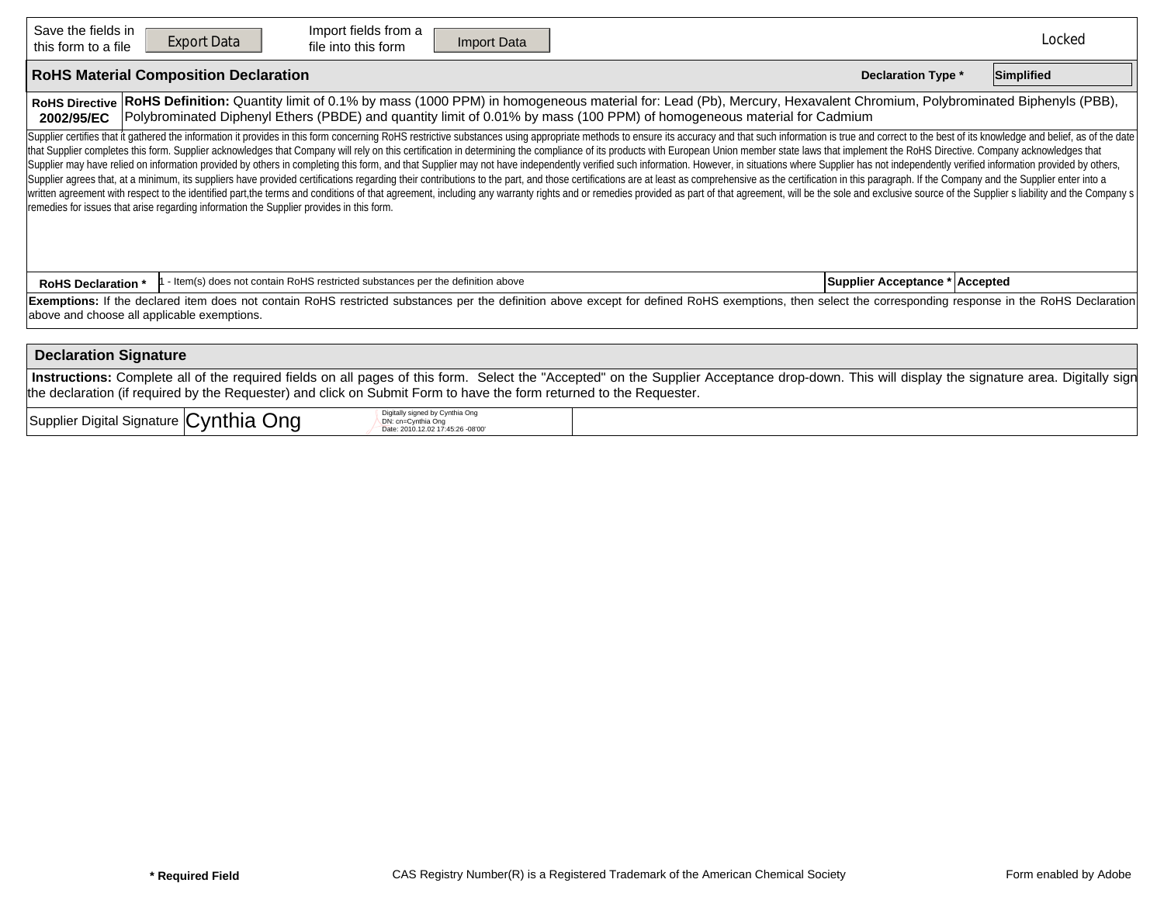| Save the fields in<br>this form to a file                                                                                                                                                                                                                                                                                                                                                                                                                                                                                                                                                                                                                                                                                                                                                                                                                                                                                                                                                                                                                                                                                                                                                                                                                         | Import fields from a<br><b>Export Data</b><br>Import Data<br>file into this form                                 |  | Locked |  |  |  |  |  |  |  |  |
|-------------------------------------------------------------------------------------------------------------------------------------------------------------------------------------------------------------------------------------------------------------------------------------------------------------------------------------------------------------------------------------------------------------------------------------------------------------------------------------------------------------------------------------------------------------------------------------------------------------------------------------------------------------------------------------------------------------------------------------------------------------------------------------------------------------------------------------------------------------------------------------------------------------------------------------------------------------------------------------------------------------------------------------------------------------------------------------------------------------------------------------------------------------------------------------------------------------------------------------------------------------------|------------------------------------------------------------------------------------------------------------------|--|--------|--|--|--|--|--|--|--|--|
| <b>RoHS Material Composition Declaration</b><br><b>Declaration Type *</b>                                                                                                                                                                                                                                                                                                                                                                                                                                                                                                                                                                                                                                                                                                                                                                                                                                                                                                                                                                                                                                                                                                                                                                                         |                                                                                                                  |  |        |  |  |  |  |  |  |  |  |
| RoHS Definition: Quantity limit of 0.1% by mass (1000 PPM) in homogeneous material for: Lead (Pb), Mercury, Hexavalent Chromium, Polybrominated Biphenyls (PBB),<br><b>RoHS Directive</b><br>Polybrominated Diphenyl Ethers (PBDE) and quantity limit of 0.01% by mass (100 PPM) of homogeneous material for Cadmium<br>2002/95/EC                                                                                                                                                                                                                                                                                                                                                                                                                                                                                                                                                                                                                                                                                                                                                                                                                                                                                                                                |                                                                                                                  |  |        |  |  |  |  |  |  |  |  |
| Supplier certifies that it gathered the information it provides in this form concerning RoHS restrictive substances using appropriate methods to ensure its accuracy and that such information is true and correct to the best<br>that Supplier completes this form. Supplier acknowledges that Company will rely on this certification in determining the compliance of its products with European Union member state laws that implement the RoHS Directive. C<br>Supplier may have relied on information provided by others in completing this form, and that Supplier may not have independently verified such information. However, in situations where Supplier has not independently verifi<br>Supplier agrees that, at a minimum, its suppliers have provided certifications regarding their contributions to the part, and those certifications are at least as comprehensive as the certification in this paragraph. If th<br>written agreement with respect to the identified part, the terms and conditions of that agreement, including any warranty rights and or remedies provided as part of that agreement, will be the sole and exclusive source of<br>remedies for issues that arise regarding information the Supplier provides in this form. |                                                                                                                  |  |        |  |  |  |  |  |  |  |  |
| <b>RoHS Declaration *</b>                                                                                                                                                                                                                                                                                                                                                                                                                                                                                                                                                                                                                                                                                                                                                                                                                                                                                                                                                                                                                                                                                                                                                                                                                                         | - Item(s) does not contain RoHS restricted substances per the definition above<br>Supplier Acceptance * Accepted |  |        |  |  |  |  |  |  |  |  |
| Exemptions: If the declared item does not contain RoHS restricted substances per the definition above except for defined RoHS exemptions, then select the corresponding response in the RoHS Declaration<br>above and choose all applicable exemptions.                                                                                                                                                                                                                                                                                                                                                                                                                                                                                                                                                                                                                                                                                                                                                                                                                                                                                                                                                                                                           |                                                                                                                  |  |        |  |  |  |  |  |  |  |  |
| <b>Declaration Signature</b>                                                                                                                                                                                                                                                                                                                                                                                                                                                                                                                                                                                                                                                                                                                                                                                                                                                                                                                                                                                                                                                                                                                                                                                                                                      |                                                                                                                  |  |        |  |  |  |  |  |  |  |  |
| Instructions: Complete all of the required fields on all pages of this form. Select the "Accepted" on the Supplier Acceptance drop-down. This will display the signature area. Digitally sign<br>the declaration (if required by the Requester) and click on Submit Form to have the form returned to the Requester.                                                                                                                                                                                                                                                                                                                                                                                                                                                                                                                                                                                                                                                                                                                                                                                                                                                                                                                                              |                                                                                                                  |  |        |  |  |  |  |  |  |  |  |
| Digitally signed by Cynthia Ong<br>Supplier Digital Signature Cynthia Ong<br>DN: cn=Cynthia Ong<br>Date: 2010.12.02 17:45:26 -08'00'                                                                                                                                                                                                                                                                                                                                                                                                                                                                                                                                                                                                                                                                                                                                                                                                                                                                                                                                                                                                                                                                                                                              |                                                                                                                  |  |        |  |  |  |  |  |  |  |  |